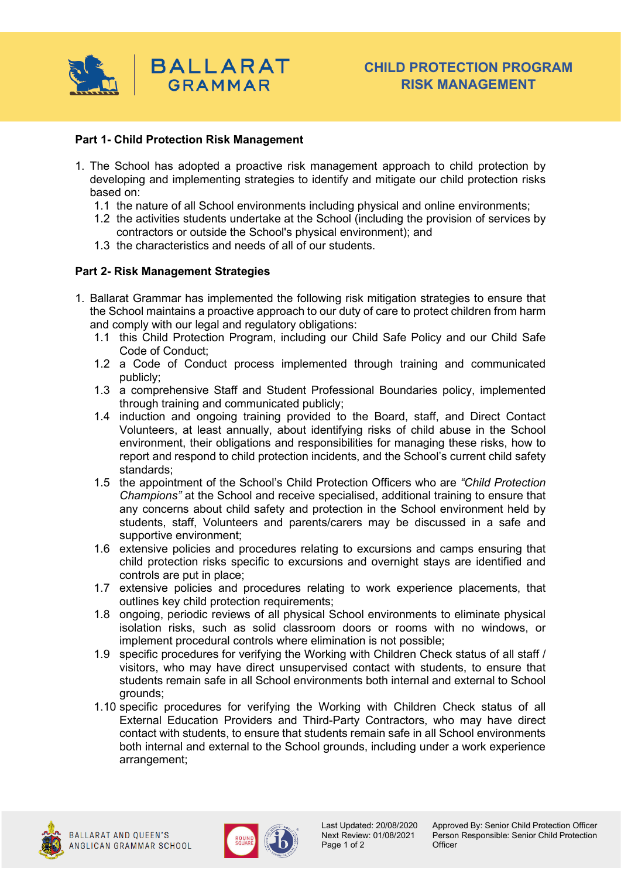

## **Part 1- Child Protection Risk Management**

- 1. The School has adopted a proactive risk management approach to child protection by developing and implementing strategies to identify and mitigate our child protection risks based on:
	- 1.1 the nature of all School environments including physical and online environments;
	- 1.2 the activities students undertake at the School (including the provision of services by contractors or outside the School's physical environment); and
	- 1.3 the characteristics and needs of all of our students.

## **Part 2- Risk Management Strategies**

- 1. Ballarat Grammar has implemented the following risk mitigation strategies to ensure that the School maintains a proactive approach to our duty of care to protect children from harm and comply with our legal and regulatory obligations:
	- 1.1 this Child Protection Program, including our Child Safe Policy and our Child Safe Code of Conduct;
	- 1.2 a Code of Conduct process implemented through training and communicated publicly;
	- 1.3 a comprehensive Staff and Student Professional Boundaries policy, implemented through training and communicated publicly;
	- 1.4 induction and ongoing training provided to the Board, staff, and Direct Contact Volunteers, at least annually, about identifying risks of child abuse in the School environment, their obligations and responsibilities for managing these risks, how to report and respond to child protection incidents, and the School's current child safety standards;
	- 1.5 the appointment of the School's Child Protection Officers who are *"Child Protection Champions"* at the School and receive specialised, additional training to ensure that any concerns about child safety and protection in the School environment held by students, staff, Volunteers and parents/carers may be discussed in a safe and supportive environment;
	- 1.6 extensive policies and procedures relating to excursions and camps ensuring that child protection risks specific to excursions and overnight stays are identified and controls are put in place;
	- 1.7 extensive policies and procedures relating to work experience placements, that outlines key child protection requirements;
	- 1.8 ongoing, periodic reviews of all physical School environments to eliminate physical isolation risks, such as solid classroom doors or rooms with no windows, or implement procedural controls where elimination is not possible;
	- 1.9 specific procedures for verifying the Working with Children Check status of all staff / visitors, who may have direct unsupervised contact with students, to ensure that students remain safe in all School environments both internal and external to School grounds;
	- 1.10 specific procedures for verifying the Working with Children Check status of all External Education Providers and Third-Party Contractors, who may have direct contact with students, to ensure that students remain safe in all School environments both internal and external to the School grounds, including under a work experience arrangement;